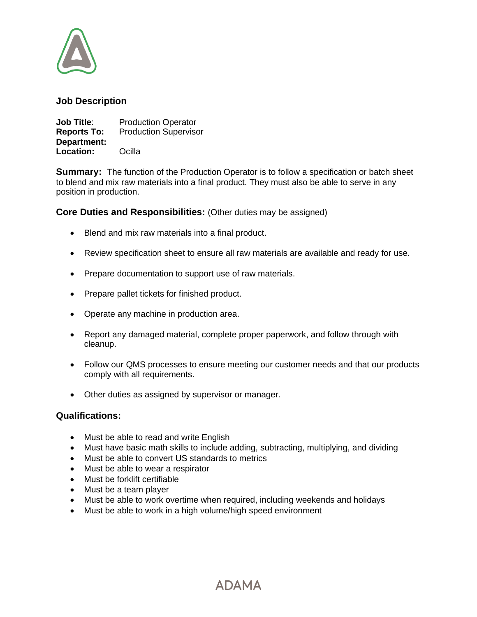

# **Job Description**

**Job Title:** Production Operator **Reports To:** Production Supervisor **Department: Location:** Ocilla

**Summary:** The function of the Production Operator is to follow a specification or batch sheet to blend and mix raw materials into a final product. They must also be able to serve in any position in production.

**Core Duties and Responsibilities:** (Other duties may be assigned)

- Blend and mix raw materials into a final product.
- Review specification sheet to ensure all raw materials are available and ready for use.
- Prepare documentation to support use of raw materials.
- Prepare pallet tickets for finished product.
- Operate any machine in production area.
- Report any damaged material, complete proper paperwork, and follow through with cleanup.
- Follow our QMS processes to ensure meeting our customer needs and that our products comply with all requirements.
- Other duties as assigned by supervisor or manager.

#### **Qualifications:**

- Must be able to read and write English
- Must have basic math skills to include adding, subtracting, multiplying, and dividing
- Must be able to convert US standards to metrics
- Must be able to wear a respirator
- Must be forklift certifiable
- Must be a team player
- Must be able to work overtime when required, including weekends and holidays
- Must be able to work in a high volume/high speed environment

**ADAMA**